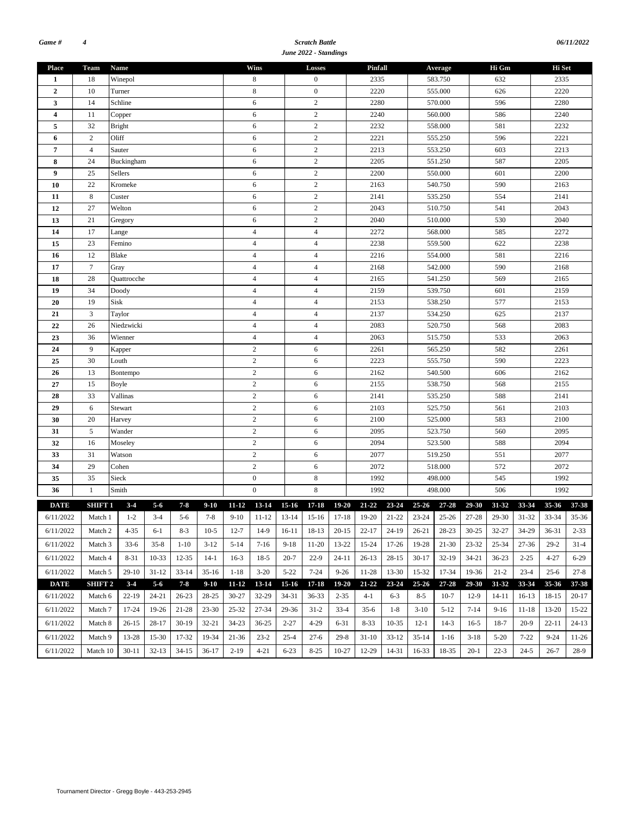#### *Scratch Battle June 2022 - Standings*

| 06/11/2022 |
|------------|
|            |

| <b>Place</b>            | Team           | <b>Name</b>   |           |           |           |           | Wins                    |                          | <b>Losses</b>    |           | Pinfall                                                                                                     |                 |           | Average   |           | Hi Gm     |           | Hi Set       |             |  |
|-------------------------|----------------|---------------|-----------|-----------|-----------|-----------|-------------------------|--------------------------|------------------|-----------|-------------------------------------------------------------------------------------------------------------|-----------------|-----------|-----------|-----------|-----------|-----------|--------------|-------------|--|
| 1                       | 18             | Winepol       |           |           |           |           | 8                       |                          | $\boldsymbol{0}$ |           | 2335                                                                                                        |                 |           | 583.750   |           | 632       |           | 2335         |             |  |
| $\overline{2}$          | 10             | Turner        |           |           |           |           | 8                       | $\boldsymbol{0}$<br>2220 |                  |           |                                                                                                             |                 |           | 555.000   |           | 626       |           | 2220         |             |  |
| 3                       | 14             | Schline       |           |           |           | 6         |                         | $\boldsymbol{2}$         |                  | 2280      |                                                                                                             | 570.000         |           |           | 596       |           | 2280      |              |             |  |
| $\overline{\mathbf{4}}$ | 11             | Copper        |           |           |           |           | 6                       |                          | $\overline{c}$   |           | 2240                                                                                                        |                 |           | 560.000   |           | 586       |           | 2240         |             |  |
| 5                       | 32             | <b>Bright</b> |           |           |           |           | 6                       |                          | $\sqrt{2}$       |           | 2232                                                                                                        |                 |           | 558.000   |           | 581       |           | 2232         |             |  |
| 6                       | $\mathbf{2}$   | Oliff         |           |           |           |           | 6                       |                          | $\sqrt{2}$       |           | 2221                                                                                                        |                 |           | 555.250   |           | 596       |           | 2221         |             |  |
| $\overline{7}$          | $\overline{4}$ | Sauter        |           |           |           |           | 6                       |                          | $\overline{c}$   |           | 2213                                                                                                        |                 |           | 553.250   |           | 603       |           | 2213         |             |  |
| 8                       | 24             | Buckingham    |           |           |           |           | 6                       |                          | $\boldsymbol{2}$ |           | 2205                                                                                                        |                 |           | 551.250   |           | 587       |           | 2205         |             |  |
| 9                       | 25             | Sellers       |           |           |           |           | 6                       |                          | $\sqrt{2}$       |           | 2200                                                                                                        |                 |           | 550.000   |           | 601       |           | 2200         |             |  |
| 10                      | 22             | Kromeke       |           |           |           |           | 6                       |                          | $\sqrt{2}$       |           | 2163                                                                                                        |                 |           | 540.750   |           | 590       |           | 2163         |             |  |
| 11                      | $\,8\,$        | Custer        |           |           |           |           | 6                       |                          | $\sqrt{2}$       |           | 2141                                                                                                        |                 |           | 535.250   |           | 554       |           | 2141         |             |  |
| 12                      | 27             | Welton        |           |           |           |           | 6                       |                          | $\overline{c}$   |           | 2043                                                                                                        |                 |           | 510.750   |           | 541       |           | 2043         |             |  |
| 13                      | 21             | Gregory       |           |           |           |           | 6                       |                          | $\sqrt{2}$       |           | 2040                                                                                                        |                 |           | 510.000   |           | 530       |           | 2040         |             |  |
| 14                      | 17             | Lange         |           |           |           |           | $\overline{4}$          |                          | $\overline{4}$   |           | 2272                                                                                                        |                 |           | 568.000   |           | 585       |           | 2272         |             |  |
| 15                      | 23             | Femino        |           |           |           |           | $\overline{4}$          |                          | $\overline{4}$   |           | 2238                                                                                                        |                 |           | 559.500   |           | 622       |           | 2238         |             |  |
| 16                      | 12             | Blake         |           |           |           |           | $\overline{4}$          |                          | $\overline{4}$   |           | 2216                                                                                                        |                 |           | 554.000   |           | 581       |           | 2216         |             |  |
| 17                      | $\tau$         | Gray          |           |           |           |           | $\overline{4}$          |                          | $\overline{4}$   |           | 2168                                                                                                        |                 |           | 542.000   |           | 590       |           | 2168         |             |  |
| 18                      | 28             | Quattrocche   |           |           |           |           | $\overline{4}$          |                          | $\overline{4}$   |           | 2165                                                                                                        |                 |           | 541.250   |           | 569       |           | 2165         |             |  |
| 19                      | 34             | Doody         |           |           |           |           | $\overline{4}$          |                          | $\overline{4}$   |           | 2159                                                                                                        |                 |           | 539.750   |           | 601       |           | 2159         |             |  |
| 20                      | 19             | Sisk          |           |           |           |           | $\overline{4}$          |                          | $\overline{4}$   |           | 2153                                                                                                        |                 |           | 538.250   |           | 577       |           | 2153         |             |  |
| 21                      | $\mathfrak z$  | Taylor        |           |           |           |           | $\overline{4}$          |                          | $\overline{4}$   |           | 2137                                                                                                        |                 |           | 534.250   |           | 625       |           | 2137         |             |  |
| 22                      | 26             | Niedzwicki    |           |           |           |           | $\overline{4}$          |                          | $\overline{4}$   |           | 2083                                                                                                        |                 |           | 520.750   |           | 568       |           | 2083         |             |  |
| 23                      | 36             | Wienner       |           |           |           |           | $\overline{4}$          |                          | $\overline{4}$   |           | 2063                                                                                                        |                 |           | 515.750   |           | 533       |           | 2063         |             |  |
| 24                      | 9              | Kapper        |           |           |           |           | $\overline{c}$          |                          | 6                |           | 2261                                                                                                        |                 |           | 565.250   |           | 582       |           | 2261         |             |  |
| 25                      | 30             | Louth         |           |           |           |           | $\overline{c}$          |                          | 6                |           | 2223                                                                                                        |                 |           | 555.750   |           | 590       |           | 2223         |             |  |
| 26                      | 13             | Bontempo      |           |           |           |           | $\sqrt{2}$              |                          | 6                |           | 2162                                                                                                        |                 |           | 540.500   |           | 606       |           | 2162         |             |  |
| 27                      | 15             | Boyle         |           |           |           |           | $\sqrt{2}$              |                          | 6                |           | 2155                                                                                                        |                 |           | 538.750   |           | 568       |           | 2155         |             |  |
| 28                      | 33             | Vallinas      |           |           |           |           | $\boldsymbol{2}$        |                          | 6                |           | 2141                                                                                                        |                 |           | 535.250   |           | 588       |           | 2141         |             |  |
| 29                      | 6              | Stewart       |           |           |           |           | $\mathbf{2}$            |                          | 6                |           | 2103                                                                                                        |                 |           | 525.750   |           | 561       |           | 2103         |             |  |
| 30                      | 20             | Harvey        |           |           |           |           | $\overline{c}$          |                          | 6                |           | 2100                                                                                                        |                 |           | 525.000   |           | 583       |           | 2100         |             |  |
| 31                      | $\sqrt{5}$     | Wander        |           |           |           |           | $\sqrt{2}$              |                          | 6                |           | 2095                                                                                                        |                 | 523.750   |           |           | 560       |           | 2095         |             |  |
| 32                      | 16             | Moseley       |           |           |           |           | $\overline{c}$          |                          | 6                |           | 2094                                                                                                        |                 | 523.500   |           |           | 588       |           | 2094         |             |  |
| 33                      | 31             | Watson        |           |           |           |           | $\boldsymbol{2}$        | 6                        |                  |           |                                                                                                             | 2077<br>519.250 |           |           |           | 551       |           |              |             |  |
| 34                      | 29             | Cohen         |           |           |           |           | $\overline{c}$          |                          | 6                |           | 2072                                                                                                        |                 |           | 518.000   |           | 572       |           | 2077<br>2072 |             |  |
| 35                      | 35             | Sieck         |           |           |           |           | $\mathbf{0}$            |                          | $\,$ 8 $\,$      |           | 1992                                                                                                        |                 |           | 498.000   |           | 545       |           | 1992         |             |  |
| 36                      | $\mathbf{1}$   | Smith         |           |           |           |           | $\boldsymbol{0}$        |                          | 8                |           | 1992                                                                                                        |                 |           | 498.000   |           | 506       |           | 1992         |             |  |
|                         |                |               |           |           |           |           |                         |                          |                  |           |                                                                                                             |                 |           |           |           |           |           |              |             |  |
| <b>DATE</b>             | SHIFT 1        | $3 - 4$       | $5 - 6$   | $7 - 8$   | $9-10$    |           | 11-12 13-14 15-16 17-18 |                          |                  |           | 19-20 21-22 23-24 25-26 27-28<br>7-8 9-10 11-12 13-14 15-16 17-18 19-20 21-22 23-24 25-26 27-28 29-30 31-32 |                 |           |           | 29-30     | 31-32     | 33-34     | 35-36        | 37-38       |  |
| 6/11/2022               |                | Match 1 1-2   | $3-4$     | $5-6$     |           |           |                         |                          |                  |           |                                                                                                             |                 |           |           |           |           |           |              | 33-34 35-36 |  |
| 6/11/2022               | Match 2        | 4-35          | 6-1       | $8-3$     | $10-5$    | $12 - 7$  | $14-9$                  | 16-11                    | 18-13            | $20-15$   | $22 - 17$                                                                                                   | 24-19           | 26-21     | 28-23     | $30 - 25$ | 32-27     | 34-29     | 36-31        | $2 - 33$    |  |
| 6/11/2022               | Match 3        | $33-6$        | $35 - 8$  | $1-10$    | $3-12$    | $5-14$    | $7-16$                  | $9-18$                   | 11-20            | 13-22     | 15-24                                                                                                       | 17-26           | 19-28     | 21-30     | $23 - 32$ | 25-34     | 27-36     | $29-2$       | $31 - 4$    |  |
| 6/11/2022               | Match 4        | 8-31          | $10 - 33$ | 12-35     | $14-1$    | $16-3$    | $18-5$                  | $20 - 7$                 | $22-9$           | $24 - 11$ | $26-13$                                                                                                     | $28-15$         | $30-17$   | $32-19$   | $34 - 21$ | $36 - 23$ | $2 - 25$  | $4 - 27$     | $6-29$      |  |
| 6/11/2022               | Match 5        | $29-10$       | $31 - 12$ | $33 - 14$ | $35 - 16$ | $1-18$    | $3-20$                  | $5 - 22$                 | $7 - 24$         | $9 - 26$  | 11-28                                                                                                       | 13-30           | 15-32     | 17-34     | 19-36     | $21 - 2$  | $23 - 4$  | $25 - 6$     | $27 - 8$    |  |
| <b>DATE</b>             | SHIFT 2        | $3 - 4$       | $5-6$     | $7 - 8$   | $9 - 10$  | $11 - 12$ | 13-14                   | $15-16$                  | 17-18            | $19 - 20$ | $21 - 22$                                                                                                   | 23-24           | $25 - 26$ | $27 - 28$ | 29-30     | 31-32     | 33-34     | 35-36        | 37-38       |  |
| 6/11/2022               | Match 6        | 22-19         | 24-21     | $26 - 23$ | 28-25     | $30 - 27$ | 32-29                   | 34-31                    | 36-33            | $2 - 35$  | 4-1                                                                                                         | 6-3             | $8 - 5$   | $10-7$    | $12-9$    | 14-11     | $16-13$   | 18-15        | $20 - 17$   |  |
|                         |                |               |           |           |           |           |                         |                          |                  |           |                                                                                                             |                 |           |           |           |           |           |              |             |  |
| 6/11/2022               | Match 7        | 17-24         | 19-26     | 21-28     | 23-30     | 25-32     | 27-34                   | 29-36                    | $31-2$           | $33-4$    | $35-6$                                                                                                      | $1-8$           | $3-10$    | $5-12$    | $7 - 14$  | $9-16$    | $11 - 18$ | 13-20        | 15-22       |  |
| 6/11/2022               | Match 8        | $26-15$       | 28-17     | $30-19$   | 32-21     | 34-23     | $36 - 25$               | $2 - 27$                 | $4 - 29$         | 6-31      | $8 - 33$                                                                                                    | $10-35$         | $12-1$    | $14-3$    | $16-5$    | 18-7      | $20-9$    | $22 - 11$    | $24-13$     |  |
| 6/11/2022               | Match 9        | 13-28         | $15-30$   | 17-32     | 19-34     | 21-36     | $23-2$                  | $25 - 4$                 | $27-6$           | $29-8$    | $31-10$                                                                                                     | $33-12$         | $35-14$   | $1-16$    | $3-18$    | $5 - 20$  | $7 - 22$  | $9 - 24$     | $11-26$     |  |
| 6/11/2022               | Match 10       | $30-11$       | $32-13$   | $34-15$   | $36-17$   | $2-19$    | $4 - 21$                | $6 - 23$                 | $8-25$           | $10-27$   | 12-29                                                                                                       | 14-31           | 16-33     | 18-35     | $20-1$    | $22 - 3$  | $24 - 5$  | $26 - 7$     | $28-9$      |  |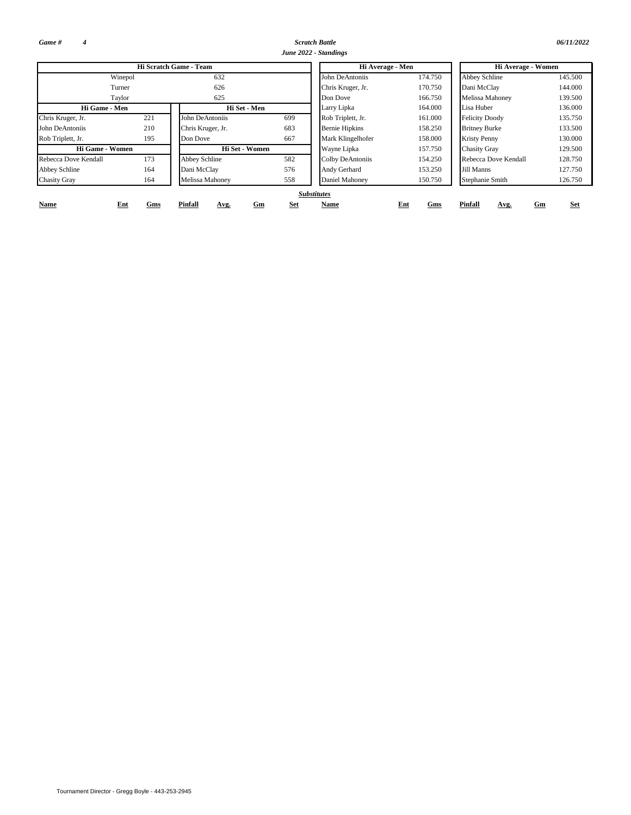*Game # 4*

*Scratch Battle 06/11/2022 June 2022 - Standings*

| <i>06/11/20</i> |  |  |
|-----------------|--|--|
|                 |  |  |

|                      |            | Hi Scratch Game - Team |                  | Hi Average - Men      |            | Hi Average - Women     |            |  |  |  |  |
|----------------------|------------|------------------------|------------------|-----------------------|------------|------------------------|------------|--|--|--|--|
|                      | Winepol    | 632                    |                  | John DeAntoniis       | 174.750    | <b>Abbey Schline</b>   | 145.500    |  |  |  |  |
| Turner               |            | 626                    |                  | Chris Kruger, Jr.     | 170.750    | Dani McClay            | 144.000    |  |  |  |  |
| Taylor               |            | 625                    |                  | Don Dove              | 166.750    | <b>Melissa Mahoney</b> | 139.500    |  |  |  |  |
| Hi Game - Men        |            | Hi Set - Men           |                  | Larry Lipka           | 164.000    | Lisa Huber             | 136.000    |  |  |  |  |
| Chris Kruger, Jr.    | 221        | John DeAntoniis        | 699              | Rob Triplett, Jr.     | 161.000    | <b>Felicity Doody</b>  | 135.750    |  |  |  |  |
| John DeAntoniis      | 210        | Chris Kruger, Jr.      | 683              | <b>Bernie Hipkins</b> | 158.250    | <b>Britney Burke</b>   | 133.500    |  |  |  |  |
| Rob Triplett, Jr.    | 195        | Don Dove               | 667              | Mark Klingelhofer     | 158.000    | <b>Kristy Penny</b>    | 130.000    |  |  |  |  |
| Hi Game - Women      |            | Hi Set - Women         |                  | Wayne Lipka           | 157.750    | <b>Chasity Gray</b>    | 129.500    |  |  |  |  |
| Rebecca Dove Kendall | 173        | Abbey Schline          | 582              | Colby DeAntoniis      | 154.250    | Rebecca Dove Kendall   | 128.750    |  |  |  |  |
| Abbey Schline        | 164        | Dani McClay            | 576              | Andy Gerhard          | 153.250    | Jill Manns             | 127.750    |  |  |  |  |
| <b>Chasity Gray</b>  | 164        | Melissa Mahoney        | 558              | Daniel Mahoney        | 150.750    | Stephanie Smith        | 126.750    |  |  |  |  |
|                      |            |                        |                  | <b>Substitutes</b>    |            |                        |            |  |  |  |  |
| Name                 | Ent<br>Gms | Pinfall<br>Avg.        | <b>Set</b><br>Gm | Name                  | Ent<br>Gms | Pinfall<br>Gm<br>Avg.  | <b>Set</b> |  |  |  |  |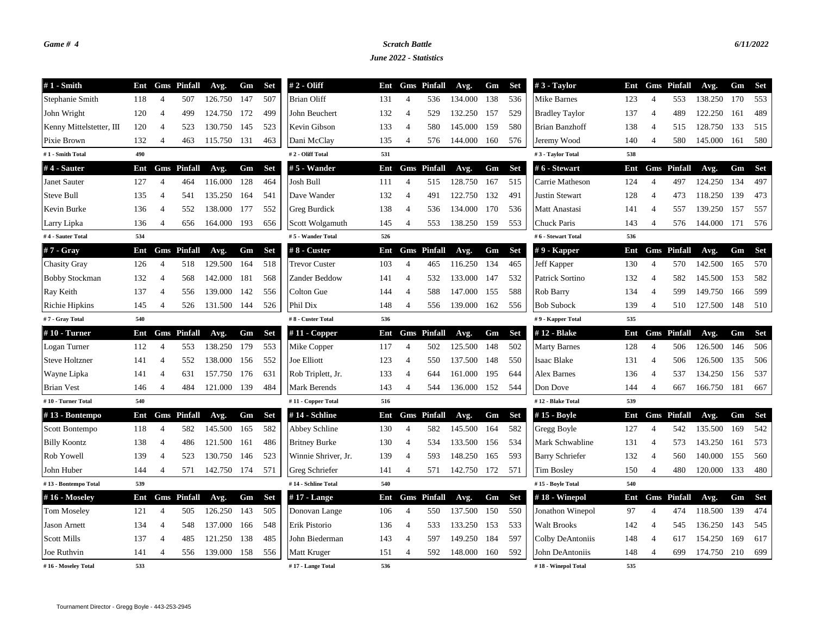## *Game # 4 Scratch Battle 6/11/2022*

*June 2022 - Statistics*

| $#1$ - Smith             | Ent |                | <b>Gms</b> Pinfall | Avg.    | Gm  | <b>Set</b> | $# 2 - Oliff$        | Ent |                | <b>Gms</b> Pinfall | Avg.        | Gm  | <b>Set</b> | $#3$ - Taylor          | Ent |                | <b>Gms</b> Pinfall | Avg.    | Gm  | <b>Set</b> |
|--------------------------|-----|----------------|--------------------|---------|-----|------------|----------------------|-----|----------------|--------------------|-------------|-----|------------|------------------------|-----|----------------|--------------------|---------|-----|------------|
| Stephanie Smith          | 118 | $\overline{4}$ | 507                | 126.750 | 147 | 507        | <b>Brian Oliff</b>   | 131 | $\overline{4}$ | 536                | 134.000     | 138 | 536        | Mike Barnes            | 123 | $\overline{4}$ | 553                | 138.250 | 170 | 553        |
| John Wright              | 120 | $\overline{4}$ | 499                | 124.750 | 172 | 499        | John Beuchert        | 132 | $\overline{4}$ | 529                | 132.250 157 |     | 529        | <b>Bradley Taylor</b>  | 137 | $\overline{4}$ | 489                | 122.250 | 161 | 489        |
| Kenny Mittelstetter, III | 120 | $\overline{4}$ | 523                | 130.750 | 145 | 523        | Kevin Gibson         | 133 | $\overline{4}$ | 580                | 145.000 159 |     | 580        | Brian Banzhoff         | 138 | $\overline{4}$ | 515                | 128.750 | 133 | 515        |
| Pixie Brown              | 132 | $\overline{4}$ | 463                | 115.750 | 131 | 463        | Dani McClay          | 135 | $\overline{4}$ | 576                | 144.000 160 |     | 576        | Jeremy Wood            | 140 | 4              | 580                | 145.000 | 161 | 580        |
| #1 - Smith Total         | 490 |                |                    |         |     |            | #2 - Oliff Total     | 531 |                |                    |             |     |            | #3 - Taylor Total      | 538 |                |                    |         |     |            |
| #4 - Sauter              | Ent |                | <b>Gms</b> Pinfall | Avg.    | Gm  | <b>Set</b> | #5 - Wander          | Ent |                | <b>Gms</b> Pinfall | Avg.        | Gm  | <b>Set</b> | # 6 - Stewart          | Ent |                | <b>Gms</b> Pinfall | Avg.    | Gm  | <b>Set</b> |
| Janet Sauter             | 127 | $\overline{4}$ | 464                | 116.000 | 128 | 464        | Josh Bull            | 111 | $\overline{4}$ | 515                | 128.750     | 167 | 515        | Carrie Matheson        | 124 | $\overline{4}$ | 497                | 124.250 | 134 | 497        |
| Steve Bull               | 135 | $\overline{4}$ | 541                | 135.250 | 164 | 541        | Dave Wander          | 132 | 4              | 491                | 122.750     | 132 | 491        | <b>Justin Stewart</b>  | 128 | $\overline{4}$ | 473                | 118.250 | 139 | 473        |
| Kevin Burke              | 136 | $\overline{4}$ | 552                | 138.000 | 177 | 552        | Greg Burdick         | 138 | $\overline{4}$ | 536                | 134.000     | 170 | 536        | Matt Anastasi          | 141 | $\overline{4}$ | 557                | 139.250 | 157 | 557        |
| Larry Lipka              | 136 | $\overline{4}$ | 656                | 164.000 | 193 | 656        | Scott Wolgamuth      | 145 | 4              | 553                | 138.250     | 159 | 553        | Chuck Paris            | 143 | $\overline{4}$ | 576                | 144.000 | 171 | 576        |
| #4 - Sauter Total        | 534 |                |                    |         |     |            | #5 - Wander Total    | 526 |                |                    |             |     |            | #6 - Stewart Total     | 536 |                |                    |         |     |            |
| $#7 - Gray$              | Ent |                | <b>Gms</b> Pinfall | Avg.    | Gm  | <b>Set</b> | # 8 - Custer         | Ent |                | <b>Gms</b> Pinfall | Avg.        | Gm  | <b>Set</b> | $#9$ - Kapper          | Ent |                | <b>Gms</b> Pinfall | Avg.    | Gm  | <b>Set</b> |
| <b>Chasity Gray</b>      | 126 | $\overline{4}$ | 518                | 129.500 | 164 | 518        | <b>Trevor Custer</b> | 103 | $\overline{4}$ | 465                | 116.250     | 134 | 465        | Jeff Kapper            | 130 | $\overline{4}$ | 570                | 142.500 | 165 | 570        |
| <b>Bobby Stockman</b>    | 132 | $\overline{4}$ | 568                | 142.000 | 181 | 568        | Zander Beddow        | 141 | $\overline{4}$ | 532                | 133.000     | 147 | 532        | Patrick Sortino        | 132 | $\overline{4}$ | 582                | 145.500 | 153 | 582        |
| Ray Keith                | 137 | $\overline{4}$ | 556                | 139.000 | 142 | 556        | Colton Gue           | 144 | $\overline{4}$ | 588                | 147.000     | 155 | 588        | Rob Barry              | 134 | $\overline{4}$ | 599                | 149.750 | 166 | 599        |
| Richie Hipkins           | 145 | $\overline{4}$ | 526                | 131.500 | 144 | 526        | Phil Dix             | 148 | $\overline{4}$ | 556                | 139.000     | 162 | 556        | <b>Bob Subock</b>      | 139 | 4              | 510                | 127.500 | 148 | 510        |
| #7 - Gray Total          | 540 |                |                    |         |     |            | #8 - Custer Total    | 536 |                |                    |             |     |            | #9 - Kapper Total      | 535 |                |                    |         |     |            |
| $#10$ - Turner           | Ent |                | <b>Gms</b> Pinfall | Avg.    | Gm  | <b>Set</b> | #11 - Copper         | Ent |                | <b>Gms</b> Pinfall | Avg.        | Gm  | <b>Set</b> | #12 - Blake            | Ent |                | <b>Gms</b> Pinfall | Avg.    | Gm  | <b>Set</b> |
| Logan Turner             | 112 | $\overline{4}$ | 553                | 138.250 | 179 | 553        | Mike Copper          | 117 | $\overline{4}$ | 502                | 125.500     | 148 | 502        | <b>Marty Barnes</b>    | 128 | $\overline{4}$ | 506                | 126.500 | 146 | 506        |
| <b>Steve Holtzner</b>    | 141 | $\overline{4}$ | 552                | 138.000 | 156 | 552        | <b>Joe Elliott</b>   | 123 | $\overline{4}$ | 550                | 137.500     | 148 | 550        | Isaac Blake            | 131 | $\overline{4}$ | 506                | 126.500 | 135 | 506        |
| Wayne Lipka              | 141 | $\overline{4}$ | 631                | 157.750 | 176 | 631        | Rob Triplett, Jr.    | 133 | $\overline{4}$ | 644                | 161.000     | 195 | 644        | Alex Barnes            | 136 | $\overline{4}$ | 537                | 134.250 | 156 | 537        |
| <b>Brian Vest</b>        | 146 | 4              | 484                | 121.000 | 139 | 484        | Mark Berends         | 143 | 4              | 544                | 136.000     | 152 | 544        | Don Dove               | 144 | 4              | 667                | 166.750 | 181 | 667        |
| #10 - Turner Total       | 540 |                |                    |         |     |            | #11 - Copper Total   | 516 |                |                    |             |     |            | #12 - Blake Total      | 539 |                |                    |         |     |            |
| #13 - Bontempo           | Ent |                | <b>Gms</b> Pinfall | Avg.    | Gm  | <b>Set</b> | #14 - Schline        | Ent |                | <b>Gms</b> Pinfall | Avg.        | Gm  | <b>Set</b> | #15 - Boyle            | Ent |                | <b>Gms</b> Pinfall | Avg.    | Gm  | Set        |
| Scott Bontempo           | 118 | $\overline{4}$ | 582                | 145.500 | 165 | 582        | Abbey Schline        | 130 | $\overline{4}$ | 582                | 145.500     | 164 | 582        | Gregg Boyle            | 127 | $\overline{4}$ | 542                | 135.500 | 169 | 542        |
| <b>Billy Koontz</b>      | 138 | $\overline{4}$ | 486                | 121.500 | 161 | 486        | <b>Britney Burke</b> | 130 | $\overline{4}$ | 534                | 133.500 156 |     | 534        | Mark Schwabline        | 131 | $\overline{4}$ | 573                | 143.250 | 161 | 573        |
| Rob Yowell               | 139 | $\overline{4}$ | 523                | 130.750 | 146 | 523        | Winnie Shriver, Jr.  | 139 | $\overline{4}$ | 593                | 148.250     | 165 | 593        | <b>Barry Schriefer</b> | 132 | $\overline{4}$ | 560                | 140.000 | 155 | 560        |
| John Huber               | 144 | 4              | 571                | 142.750 | 174 | 571        | Greg Schriefer       | 141 | 4              | 571                | 142.750 172 |     | 571        | Tim Bosley             | 150 | 4              | 480                | 120.000 | 133 | 480        |
| #13 - Bontempo Total     | 539 |                |                    |         |     |            | #14 - Schline Total  | 540 |                |                    |             |     |            | #15 - Boyle Total      | 540 |                |                    |         |     |            |
| #16 - Moseley            | Ent |                | <b>Gms</b> Pinfall | Avg.    | Gm  | <b>Set</b> | $#17$ - Lange        | Ent |                | <b>Gms</b> Pinfall | Avg.        | Gm  | <b>Set</b> | $#18$ - Winepol        | Ent |                | <b>Gms</b> Pinfall | Avg.    | Gm  | <b>Set</b> |
| <b>Tom Moseley</b>       | 121 | $\overline{4}$ | 505                | 126.250 | 143 | 505        | Donovan Lange        | 106 | $\overline{4}$ | 550                | 137.500     | 150 | 550        | Jonathon Winepol       | 97  | $\overline{4}$ | 474                | 118.500 | 139 | 474        |
| <b>Jason Arnett</b>      | 134 | $\overline{4}$ | 548                | 137.000 | 166 | 548        | Erik Pistorio        | 136 | $\overline{4}$ | 533                | 133.250     | 153 | 533        | Walt Brooks            | 142 | $\overline{4}$ | 545                | 136.250 | 143 | 545        |
| <b>Scott Mills</b>       | 137 | $\overline{4}$ | 485                | 121.250 | 138 | 485        | John Biederman       | 143 | 4              | 597                | 149.250     | 184 | 597        | Colby DeAntoniis       | 148 | 4              | 617                | 154.250 | 169 | 617        |
| Joe Ruthvin              | 141 | 4              | 556                | 139.000 | 158 | 556        | Matt Kruger          | 151 | 4              | 592                | 148.000     | 160 | 592        | John DeAntoniis        | 148 | $\overline{4}$ | 699                | 174.750 | 210 | 699        |
| #16 - Moseley Total      | 533 |                |                    |         |     |            | #17 - Lange Total    | 536 |                |                    |             |     |            | #18 - Winepol Total    | 535 |                |                    |         |     |            |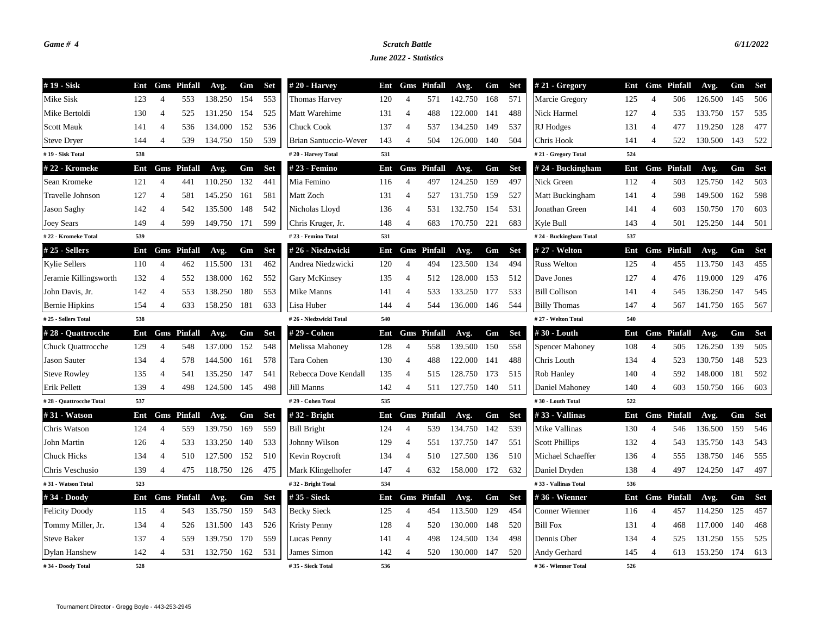## *Game # 4 Scratch Battle 6/11/2022*

*June 2022 - Statistics*

| #19 - Sisk               | Ent |                | <b>Gms</b> Pinfall | Avg.    | Gm  | <b>Set</b> | $#20$ - Harvey         | Ent |                | <b>Gms</b> Pinfall | Avg.    | Gm  | <b>Set</b> | # 21 - Gregory         | Ent |                | <b>Gms</b> Pinfall | Avg.    | Gm  | <b>Set</b> |
|--------------------------|-----|----------------|--------------------|---------|-----|------------|------------------------|-----|----------------|--------------------|---------|-----|------------|------------------------|-----|----------------|--------------------|---------|-----|------------|
| Mike Sisk                | 123 | 4              | 553                | 138.250 | 154 | 553        | <b>Thomas Harvey</b>   | 120 | $\overline{4}$ | 571                | 142.750 | 168 | 571        | Marcie Gregory         | 125 | 4              | 506                | 126.500 | 145 | 506        |
| Mike Bertoldi            | 130 | $\overline{4}$ | 525                | 131.250 | 154 | 525        | Matt Warehime          | 131 | $\overline{4}$ | 488                | 122.000 | 141 | 488        | Nick Harmel            | 127 | $\overline{4}$ | 535                | 133.750 | 157 | 535        |
| <b>Scott Mauk</b>        | 141 | 4              | 536                | 134.000 | 152 | 536        | <b>Chuck Cook</b>      | 137 | $\overline{4}$ | 537                | 134.250 | 149 | 537        | RJ Hodges              | 131 | $\overline{4}$ | 477                | 119.250 | 128 | 477        |
| <b>Steve Dryer</b>       | 144 | $\overline{4}$ | 539                | 134.750 | 150 | 539        | Brian Santuccio-Wever  | 143 | $\overline{4}$ | 504                | 126.000 | 140 | 504        | Chris Hook             | 141 | $\overline{4}$ | 522                | 130.500 | 143 | 522        |
| #19 - Sisk Total         | 538 |                |                    |         |     |            | #20 - Harvey Total     | 531 |                |                    |         |     |            | #21 - Gregory Total    | 524 |                |                    |         |     |            |
| # 22 - Kromeke           | Ent |                | <b>Gms</b> Pinfall | Avg.    | Gm  | <b>Set</b> | # 23 - Femino          | Ent |                | <b>Gms</b> Pinfall | Avg.    | Gm  | <b>Set</b> | # 24 - Buckingham      | Ent |                | <b>Gms</b> Pinfall | Avg.    | Gm  | <b>Set</b> |
| Sean Kromeke             | 121 | 4              | 441                | 110.250 | 132 | 441        | Mia Femino             | 116 | $\overline{4}$ | 497                | 124.250 | 159 | 497        | Nick Green             | 112 | $\overline{4}$ | 503                | 125.750 | 142 | 503        |
| Travelle Johnson         | 127 | $\overline{4}$ | 581                | 145.250 | 161 | 581        | Matt Zoch              | 131 | $\overline{4}$ | 527                | 131.750 | 159 | 527        | Matt Buckingham        | 141 | $\overline{4}$ | 598                | 149.500 | 162 | 598        |
| Jason Saghy              | 142 | $\overline{4}$ | 542                | 135.500 | 148 | 542        | Nicholas Lloyd         | 136 | $\overline{4}$ | 531                | 132.750 | 154 | 531        | Jonathan Green         | 141 | $\overline{4}$ | 603                | 150.750 | 170 | 603        |
| <b>Joey Sears</b>        | 149 | 4              | 599                | 149.750 | 171 | 599        | Chris Kruger, Jr.      | 148 | $\overline{4}$ | 683                | 170.750 | 221 | 683        | Kyle Bull              | 143 | $\overline{4}$ | 501                | 125.250 | 144 | 501        |
| #22 - Kromeke Total      | 539 |                |                    |         |     |            | #23 - Femino Total     | 531 |                |                    |         |     |            | #24 - Buckingham Total | 537 |                |                    |         |     |            |
| $#25$ - Sellers          | Ent |                | <b>Gms</b> Pinfall | Avg.    | Gm  | <b>Set</b> | #26 - Niedzwicki       | Ent |                | <b>Gms</b> Pinfall | Avg.    | Gm  | <b>Set</b> | # 27 - Welton          | Ent |                | <b>Gms</b> Pinfall | Avg.    | Gm  | <b>Set</b> |
| <b>Kylie Sellers</b>     | 110 | $\overline{4}$ | 462                | 115.500 | 131 | 462        | Andrea Niedzwicki      | 120 | $\overline{4}$ | 494                | 123.500 | 134 | 494        | <b>Russ Welton</b>     | 125 | $\overline{4}$ | 455                | 113.750 | 143 | 455        |
| Jeramie Killingsworth    | 132 | 4              | 552                | 138.000 | 162 | 552        | <b>Gary McKinsey</b>   | 135 | $\overline{4}$ | 512                | 128.000 | 153 | 512        | Dave Jones             | 127 | $\overline{4}$ | 476                | 119.000 | 129 | 476        |
| John Davis, Jr.          | 142 | 4              | 553                | 138.250 | 180 | 553        | Mike Manns             | 141 | $\overline{4}$ | 533                | 133.250 | 177 | 533        | <b>Bill Collison</b>   | 141 | 4              | 545                | 136.250 | 147 | 545        |
| Bernie Hipkins           | 154 | 4              | 633                | 158.250 | 181 | 633        | Lisa Huber             | 144 | $\overline{4}$ | 544                | 136.000 | 146 | 544        | <b>Billy Thomas</b>    | 147 | $\overline{4}$ | 567                | 141.750 | 165 | 567        |
| # 25 - Sellers Total     | 538 |                |                    |         |     |            | #26 - Niedzwicki Total | 540 |                |                    |         |     |            | #27 - Welton Total     | 540 |                |                    |         |     |            |
| #28 - Quattrocche        | Ent |                | <b>Gms</b> Pinfall | Avg.    | Gm  | <b>Set</b> | # 29 - Cohen           | Ent |                | <b>Gms</b> Pinfall | Avg.    | Gm  | <b>Set</b> | #30 - Louth            | Ent |                | <b>Gms</b> Pinfall | Avg.    | Gm  | <b>Set</b> |
| <b>Chuck Quattrocche</b> | 129 | $\overline{4}$ | 548                | 137.000 | 152 | 548        | Melissa Mahoney        | 128 | $\overline{4}$ | 558                | 139.500 | 150 | 558        | <b>Spencer Mahoney</b> | 108 | $\overline{4}$ | 505                | 126.250 | 139 | 505        |
| <b>Jason Sauter</b>      | 134 | $\overline{4}$ | 578                | 144.500 | 161 | 578        | Tara Cohen             | 130 | $\overline{4}$ | 488                | 122.000 | 141 | 488        | Chris Louth            | 134 | $\overline{4}$ | 523                | 130.750 | 148 | 523        |
| <b>Steve Rowley</b>      | 135 | 4              | 541                | 135.250 | 147 | 541        | Rebecca Dove Kendall   | 135 | $\overline{4}$ | 515                | 128.750 | 173 | 515        | Rob Hanley             | 140 | $\overline{4}$ | 592                | 148.000 | 181 | 592        |
| Erik Pellett             | 139 | $\overline{4}$ | 498                | 124.500 | 145 | 498        | Jill Manns             | 142 | $\overline{4}$ | 511                | 127.750 | 140 | 511        | Daniel Mahoney         | 140 | $\overline{4}$ | 603                | 150.750 | 166 | 603        |
| #28 - Quattrocche Total  | 537 |                |                    |         |     |            | #29 - Cohen Total      | 535 |                |                    |         |     |            | #30 - Louth Total      | 522 |                |                    |         |     |            |
| #31 - Watson             | Ent |                | <b>Gms</b> Pinfall | Avg.    | Gm  | <b>Set</b> | #32 - Bright           | Ent |                | <b>Gms</b> Pinfall | Avg.    | Gm  | <b>Set</b> | #33 - Vallinas         | Ent |                | <b>Gms</b> Pinfall | Avg.    | Gm  | <b>Set</b> |
| Chris Watson             | 124 | $\overline{4}$ | 559                | 139.750 | 169 | 559        | <b>Bill Bright</b>     | 124 | $\overline{4}$ | 539                | 134.750 | 142 | 539        | Mike Vallinas          | 130 | $\overline{4}$ | 546                | 136.500 | 159 | 546        |
| John Martin              | 126 | $\overline{4}$ | 533                | 133.250 | 140 | 533        | Johnny Wilson          | 129 | $\overline{4}$ | 551                | 137.750 | 147 | 551        | <b>Scott Phillips</b>  | 132 | $\overline{4}$ | 543                | 135.750 | 143 | 543        |
| <b>Chuck Hicks</b>       | 134 | $\overline{4}$ | 510                | 127.500 | 152 | 510        | Kevin Roycroft         | 134 | $\overline{4}$ | 510                | 127.500 | 136 | 510        | Michael Schaeffer      | 136 | $\overline{4}$ | 555                | 138.750 | 146 | 555        |
| Chris Veschusio          | 139 | 4              | 475                | 118.750 | 126 | 475        | Mark Klingelhofer      | 147 | $\overline{4}$ | 632                | 158.000 | 172 | 632        | Daniel Dryden          | 138 | $\overline{4}$ | 497                | 124.250 | 147 | 497        |
| #31 - Watson Total       | 523 |                |                    |         |     |            | #32 - Bright Total     | 534 |                |                    |         |     |            | #33 - Vallinas Total   | 536 |                |                    |         |     |            |
| #34 - Doody              | Ent |                | <b>Gms</b> Pinfall | Avg.    | Gm  | <b>Set</b> | #35 - Sieck            | Ent | Gms            | Pinfall            | Avg.    | Gm  | <b>Set</b> | #36 - Wienner          | Ent |                | <b>Gms</b> Pinfall | Avg.    | Gm  | <b>Set</b> |
| <b>Felicity Doody</b>    | 115 | $\overline{4}$ | 543                | 135.750 | 159 | 543        | <b>Becky Sieck</b>     | 125 | $\overline{4}$ | 454                | 113.500 | 129 | 454        | Conner Wienner         | 116 | $\overline{4}$ | 457                | 114.250 | 125 | 457        |
| Tommy Miller, Jr.        | 134 | $\overline{4}$ | 526                | 131.500 | 143 | 526        | Kristy Penny           | 128 | $\overline{4}$ | 520                | 130.000 | 148 | 520        | <b>Bill Fox</b>        | 131 | $\overline{4}$ | 468                | 117.000 | 140 | 468        |
| <b>Steve Baker</b>       | 137 | 4              | 559                | 139.750 | 170 | 559        | Lucas Penny            | 141 | $\overline{4}$ | 498                | 124.500 | 134 | 498        | Dennis Ober            | 134 | $\overline{4}$ | 525                | 131.250 | 155 | 525        |
| Dylan Hanshew            | 142 | 4              | 531                | 132.750 | 162 | 531        | James Simon            | 142 | $\overline{4}$ | 520                | 130.000 | 147 | 520        | Andy Gerhard           | 145 | $\overline{4}$ | 613                | 153.250 | 174 | 613        |
| #34 - Doody Total        | 528 |                |                    |         |     |            | #35 - Sieck Total      | 536 |                |                    |         |     |            | #36 - Wienner Total    | 526 |                |                    |         |     |            |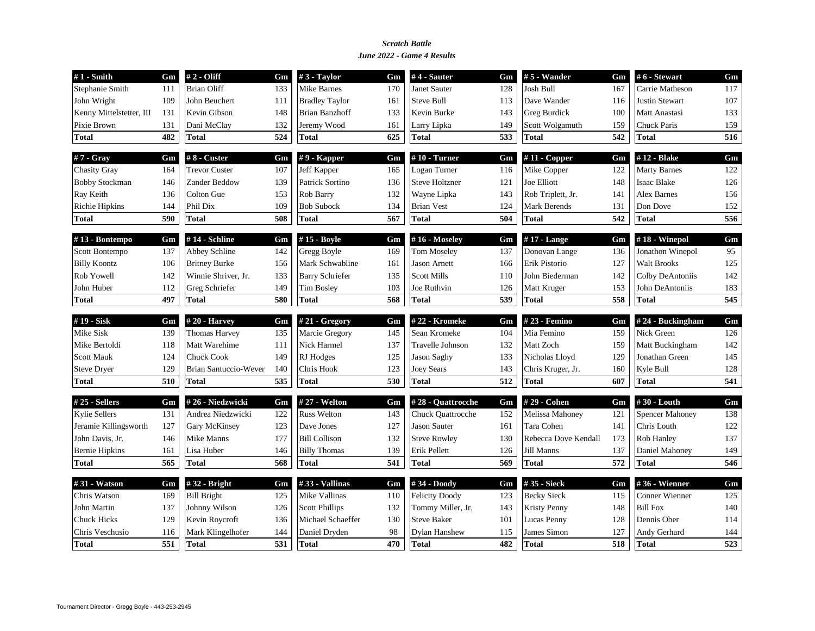### *June 2022 - Game 4 Results Scratch Battle*

| $#1$ - Smith             | Gm  | $# 2 - Oliff$                | Gm  | $#3$ - Taylor          | Gm  | $#4$ - Sauter         | Gm  | $\#$ 5 - Wander      | Gm  | #6 - Stewart          | Gm  |
|--------------------------|-----|------------------------------|-----|------------------------|-----|-----------------------|-----|----------------------|-----|-----------------------|-----|
| Stephanie Smith          | 111 | <b>Brian Oliff</b>           | 133 | <b>Mike Barnes</b>     | 170 | <b>Janet Sauter</b>   | 128 | Josh Bull            | 167 | Carrie Matheson       | 117 |
| John Wright              | 109 | John Beuchert                | 111 | <b>Bradley Taylor</b>  | 161 | <b>Steve Bull</b>     | 113 | Dave Wander          | 116 | <b>Justin Stewart</b> | 107 |
| Kenny Mittelstetter, III | 131 | Kevin Gibson                 | 148 | <b>Brian Banzhoff</b>  | 133 | Kevin Burke           | 143 | <b>Greg Burdick</b>  | 100 | Matt Anastasi         | 133 |
| Pixie Brown              | 131 | Dani McClay                  | 132 | Jeremy Wood            | 161 | Larry Lipka           | 149 | Scott Wolgamuth      | 159 | <b>Chuck Paris</b>    | 159 |
| <b>Total</b>             | 482 | <b>Total</b>                 | 524 | <b>Total</b>           | 625 | <b>Total</b>          | 533 | Total                | 542 | <b>Total</b>          | 516 |
| #7 - Gray                | Gm  | #8 - Custer                  | Gm  | $# 9$ - Kapper         | Gm  | $#10$ - Turner        | Gm  | $#11$ - Copper       | Gm  | #12 - Blake           | Gm  |
| <b>Chasity Gray</b>      | 164 | <b>Trevor Custer</b>         | 107 | Jeff Kapper            | 165 | Logan Turner          | 116 | Mike Copper          | 122 | <b>Marty Barnes</b>   | 122 |
| <b>Bobby Stockman</b>    | 146 | Zander Beddow                | 139 | Patrick Sortino        | 136 | <b>Steve Holtzner</b> | 121 | Joe Elliott          | 148 | <b>Isaac Blake</b>    | 126 |
| Ray Keith                | 136 | Colton Gue                   | 153 | Rob Barry              | 132 | Wayne Lipka           | 143 | Rob Triplett, Jr.    | 141 | <b>Alex Barnes</b>    | 156 |
| Richie Hipkins           | 144 | Phil Dix                     | 109 | <b>Bob Subock</b>      | 134 | <b>Brian Vest</b>     | 124 | Mark Berends         | 131 | Don Dove              | 152 |
| Total                    | 590 | Total                        | 508 | <b>Total</b>           | 567 | <b>Total</b>          | 504 | Total                | 542 | <b>Total</b>          | 556 |
| #13 - Bontempo           | Gm  | #14 - Schline                | Gm  | #15 - Boyle            | Gm  | #16 - Moseley         | Gm  | #17 - Lange          | Gm  | #18 - Winepol         | Gm  |
| Scott Bontempo           | 137 | Abbey Schline                | 142 | Gregg Boyle            | 169 | <b>Tom Moseley</b>    | 137 | Donovan Lange        | 136 | Jonathon Winepol      | 95  |
| <b>Billy Koontz</b>      | 106 | <b>Britney Burke</b>         | 156 | Mark Schwabline        | 161 | <b>Jason Arnett</b>   | 166 | Erik Pistorio        | 127 | <b>Walt Brooks</b>    | 125 |
| Rob Yowell               | 142 | Winnie Shriver, Jr.          | 133 | <b>Barry Schriefer</b> | 135 | <b>Scott Mills</b>    | 110 | John Biederman       | 142 | Colby DeAntoniis      | 142 |
| John Huber               | 112 | Greg Schriefer               | 149 | <b>Tim Bosley</b>      | 103 | Joe Ruthvin           | 126 | Matt Kruger          | 153 | John DeAntoniis       | 183 |
| <b>Total</b>             | 497 | <b>Total</b>                 | 580 | <b>Total</b>           | 568 | <b>Total</b>          | 539 | Total                | 558 | <b>Total</b>          | 545 |
| #19 - Sisk               | Gm  | $#20$ - Harvey               | Gm  | # 21 - Gregory         | Gm  | #22 - Kromeke         | Gm  | #23 - Femino         | Gm  | #24 - Buckingham      | Gm  |
| Mike Sisk                | 139 | <b>Thomas Harvey</b>         | 135 | Marcie Gregory         | 145 | Sean Kromeke          | 104 | Mia Femino           | 159 | Nick Green            | 126 |
| Mike Bertoldi            | 118 | Matt Warehime                | 111 | Nick Harmel            | 137 | Travelle Johnson      | 132 | Matt Zoch            | 159 | Matt Buckingham       | 142 |
| <b>Scott Mauk</b>        | 124 | <b>Chuck Cook</b>            | 149 | RJ Hodges              | 125 | <b>Jason Saghy</b>    | 133 | Nicholas Lloyd       | 129 | Jonathan Green        | 145 |
| <b>Steve Dryer</b>       | 129 | <b>Brian Santuccio-Wever</b> | 140 | Chris Hook             | 123 | <b>Joey Sears</b>     | 143 | Chris Kruger, Jr.    | 160 | Kyle Bull             | 128 |
| <b>Total</b>             | 510 | <b>Total</b>                 | 535 | <b>Total</b>           | 530 | <b>Total</b>          | 512 | Total                | 607 | <b>Total</b>          | 541 |
| $\#$ 25 - Sellers        | Gm  | #26 - Niedzwicki             | Gm  | # 27 - Welton          | Gm  | #28 - Quattrocche     | Gm  | #29 - Cohen          | Gm  | # $30 -$ Louth        | Gm  |
| <b>Kylie Sellers</b>     | 131 | Andrea Niedzwicki            | 122 | <b>Russ Welton</b>     | 143 | Chuck Quattrocche     | 152 | Melissa Mahoney      | 121 | Spencer Mahoney       | 138 |
| Jeramie Killingsworth    | 127 | <b>Gary McKinsey</b>         | 123 | Dave Jones             | 127 | <b>Jason Sauter</b>   | 161 | Tara Cohen           | 141 | Chris Louth           | 122 |
| John Davis, Jr.          | 146 | Mike Manns                   | 177 | <b>Bill Collison</b>   | 132 | <b>Steve Rowley</b>   | 130 | Rebecca Dove Kendall | 173 | <b>Rob Hanley</b>     | 137 |
| <b>Bernie Hipkins</b>    | 161 | Lisa Huber                   | 146 | <b>Billy Thomas</b>    | 139 | Erik Pellett          | 126 | Jill Manns           | 137 | Daniel Mahoney        | 149 |
| <b>Total</b>             | 565 | <b>Total</b>                 | 568 | <b>Total</b>           | 541 | <b>Total</b>          | 569 | Total                | 572 | <b>Total</b>          | 546 |
| #31 - Watson             | Gm  | #32 - Bright                 | Gm  | #33 - Vallinas         | Gm  | #34 - Doody           | Gm  | #35 - Sieck          | Gm  | #36 - Wienner         | Gm  |
| Chris Watson             | 169 | <b>Bill Bright</b>           | 125 | Mike Vallinas          | 110 | <b>Felicity Doody</b> | 123 | <b>Becky Sieck</b>   | 115 | Conner Wienner        | 125 |
| John Martin              | 137 | Johnny Wilson                | 126 | <b>Scott Phillips</b>  | 132 | Tommy Miller, Jr.     | 143 | <b>Kristy Penny</b>  | 148 | <b>Bill Fox</b>       | 140 |
| <b>Chuck Hicks</b>       | 129 | Kevin Roycroft               | 136 | Michael Schaeffer      | 130 | <b>Steve Baker</b>    | 101 | Lucas Penny          | 128 | Dennis Ober           | 114 |
| Chris Veschusio          | 116 | Mark Klingelhofer            | 144 | Daniel Dryden          | 98  | <b>Dylan Hanshew</b>  | 115 | James Simon          | 127 | Andy Gerhard          | 144 |
| <b>Total</b>             | 551 | <b>Total</b>                 | 531 | <b>Total</b>           | 470 | <b>Total</b>          | 482 | Total                | 518 | <b>Total</b>          | 523 |